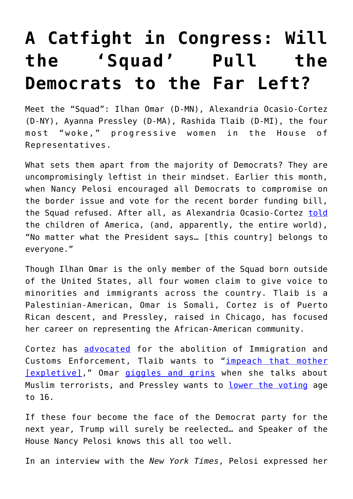## **[A Catfight in Congress: Will](https://intellectualtakeout.org/2019/07/a-catfight-in-congress-will-the-squad-pull-the-democrats-to-the-far-left/) [the 'Squad' Pull the](https://intellectualtakeout.org/2019/07/a-catfight-in-congress-will-the-squad-pull-the-democrats-to-the-far-left/) [Democrats to the Far Left?](https://intellectualtakeout.org/2019/07/a-catfight-in-congress-will-the-squad-pull-the-democrats-to-the-far-left/)**

Meet the "Squad": Ilhan Omar (D-MN), Alexandria Ocasio-Cortez (D-NY), Ayanna Pressley (D-MA), Rashida Tlaib (D-MI), the four most "woke," progressive women in the House of Representatives.

What sets them apart from the majority of Democrats? They are uncompromisingly leftist in their mindset. Earlier this month, when Nancy Pelosi encouraged all Democrats to compromise on the border issue and vote for the recent border funding bill, the Squad refused. After all, as Alexandria Ocasio-Cortez [told](https://twitter.com/nytimes/status/1150917995763589121) the children of America, (and, apparently, the entire world), "No matter what the President says… [this country] belongs to everyone."

Though Ilhan Omar is the only member of the Squad born outside of the United States, all four women claim to give voice to minorities and immigrants across the country. Tlaib is a Palestinian-American, Omar is Somali, Cortez is of Puerto Rican descent, and Pressley, raised in Chicago, has focused her career on representing the African-American community.

Cortez has [advocated](https://www.cnn.com/videos/politics/2018/06/27/alexandria-ocasio-cortez-abolish-ice-newsroom-sot-vpx.cnn) for the abolition of Immigration and Customs Enforcement, Tlaib wants to "[impeach that mother](https://www.nytimes.com/2019/01/04/us/politics/tlaib-impeach-trump.html) [\[expletive\]](https://www.nytimes.com/2019/01/04/us/politics/tlaib-impeach-trump.html)," Omar [giggles and grins](https://twitter.com/LizRNC/status/1150880188957364224) when she talks about Muslim terrorists, and Pressley wants to [lower the voting](https://www.boston.com/news/politics/2019/03/06/ayanna-pressley-voting-age-16) age to 16.

If these four become the face of the Democrat party for the next year, Trump will surely be reelected… and Speaker of the House Nancy Pelosi knows this all too well.

In an interview with the *New York Times*, Pelosi expressed her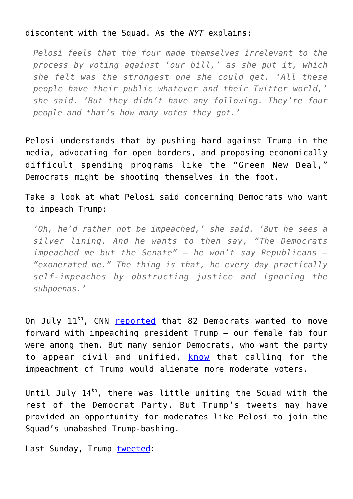## discontent with the Squad. As the *NYT* explains:

*Pelosi feels that the four made themselves irrelevant to the process by voting against 'our bill,' as she put it, which she felt was the strongest one she could get. 'All these people have their public whatever and their Twitter world,' she said. 'But they didn't have any following. They're four people and that's how many votes they got.'*

Pelosi understands that by pushing hard against Trump in the media, advocating for open borders, and proposing economically difficult spending programs like the "Green New Deal," Democrats might be shooting themselves in the foot.

Take a look at what Pelosi said concerning Democrats who want to impeach Trump:

*'Oh, he'd rather not be impeached,' she said. 'But he sees a silver lining. And he wants to then say, "The Democrats impeached me but the Senate" — he won't say Republicans — "exonerated me." The thing is that, he every day practically self-impeaches by obstructing justice and ignoring the subpoenas.'*

On July 11<sup>th</sup>, CNN [reported](https://www.cnn.com/2019/05/23/politics/democrats-impeachment-whip-list/index.html) that 82 Democrats wanted to move forward with impeaching president Trump – our female fab four were among them. But many senior Democrats, who want the party to appear civil and unified, [know](https://www.cbsnews.com/news/joe-biden-impeachment-its-a-gigantic-distraction-joe-biden-says-at-concord-new-hampshire-rally-today-2019-06-04/) that calling for the impeachment of Trump would alienate more moderate voters.

Until July  $14<sup>th</sup>$ , there was little uniting the Squad with the rest of the Democrat Party. But Trump's tweets may have provided an opportunity for moderates like Pelosi to join the Squad's unabashed Trump-bashing.

Last Sunday, Trump [tweeted:](https://twitter.com/realDonaldTrump/status/1150381394234941448?ref_src=twsrc%5Egoogle%7Ctwcamp%5Eserp%7Ctwgr%5Etweet)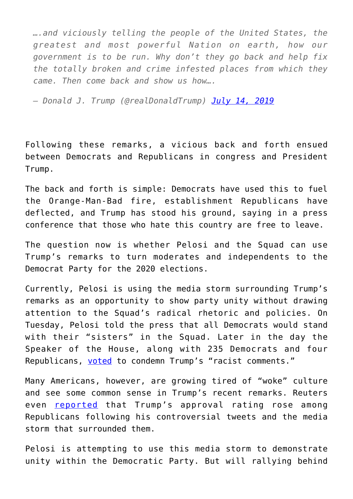*….and viciously telling the people of the United States, the greatest and most powerful Nation on earth, how our government is to be run. Why don't they go back and help fix the totally broken and crime infested places from which they came. Then come back and show us how….*

*— Donald J. Trump (@realDonaldTrump) [July 14, 2019](https://twitter.com/realDonaldTrump/status/1150381395078000643?ref_src=twsrc%5Etfw)*

Following these remarks, a vicious back and forth ensued between Democrats and Republicans in congress and President Trump.

The back and forth is simple: Democrats have used this to fuel the Orange-Man-Bad fire, establishment Republicans have deflected, and Trump has stood his ground, saying in a press conference that those who hate this country are free to leave.

The question now is whether Pelosi and the Squad can use Trump's remarks to turn moderates and independents to the Democrat Party for the 2020 elections.

Currently, Pelosi is using the media storm surrounding Trump's remarks as an opportunity to show party unity without drawing attention to the Squad's radical rhetoric and policies. On Tuesday, Pelosi told the press that all Democrats would stand with their "sisters" in the Squad. Later in the day the Speaker of the House, along with 235 Democrats and four Republicans, [voted](https://www.cnn.com/2019/07/17/politics/donald-trump-racist-house-condemned/index.html) to condemn Trump's "racist comments."

Many Americans, however, are growing tired of "woke" culture and see some common sense in Trump's recent remarks. Reuters even [reported](https://www.reuters.com/article/us-usa-trump-poll/republican-support-for-trump-rises-after-racially-charged-tweets-reuters-ipsos-poll-idUSKCN1UB2UD) that Trump's approval rating rose among Republicans following his controversial tweets and the media storm that surrounded them.

Pelosi is attempting to use this media storm to demonstrate unity within the Democratic Party. But will rallying behind